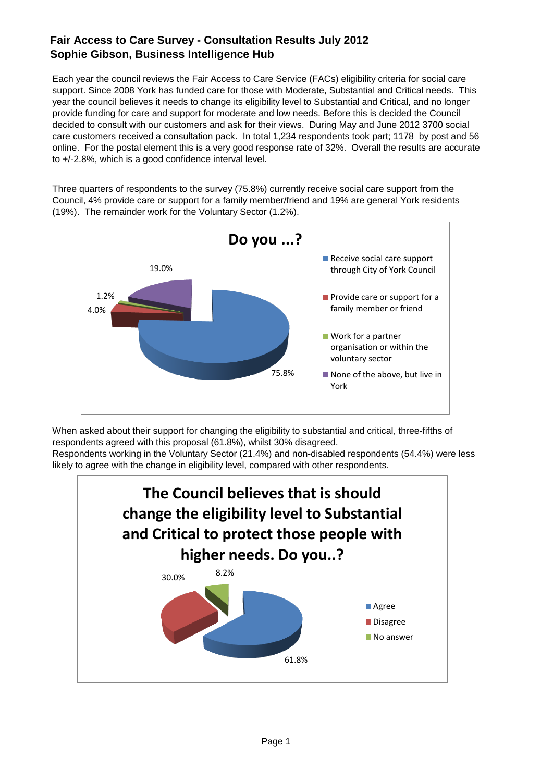Each year the council reviews the Fair Access to Care Service (FACs) eligibility criteria for social care support. Since 2008 York has funded care for those with Moderate, Substantial and Critical needs. This year the council believes it needs to change its eligibility level to Substantial and Critical, and no longer provide funding for care and support for moderate and low needs. Before this is decided the Council decided to consult with our customers and ask for their views. During May and June 2012 3700 social care customers received a consultation pack. In total 1,234 respondents took part; 1178 by post and 56 online. For the postal element this is a very good response rate of 32%. Overall the results are accurate to +/-2.8%, which is a good confidence interval level.

Three quarters of respondents to the survey (75.8%) currently receive social care support from the Council, 4% provide care or support for a family member/friend and 19% are general York residents (19%). The remainder work for the Voluntary Sector (1.2%).



When asked about their support for changing the eligibility to substantial and critical, three-fifths of respondents agreed with this proposal (61.8%), whilst 30% disagreed.

Respondents working in the Voluntary Sector (21.4%) and non-disabled respondents (54.4%) were less likely to agree with the change in eligibility level, compared with other respondents.

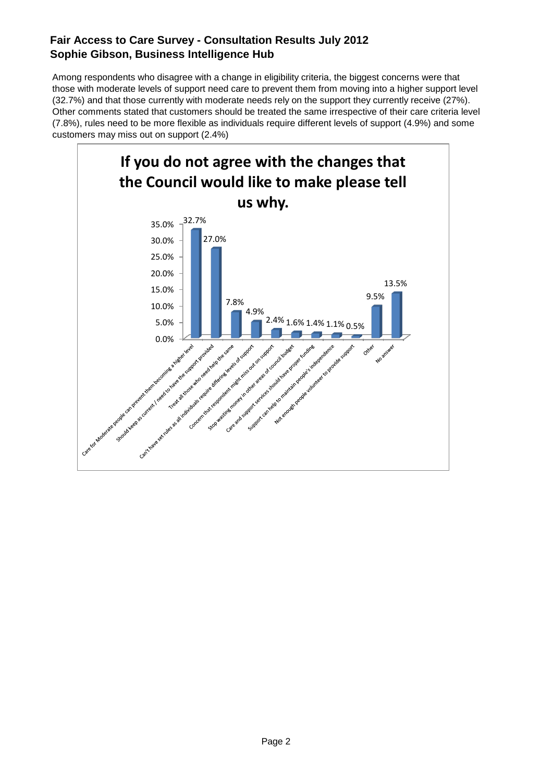Among respondents who disagree with a change in eligibility criteria, the biggest concerns were that those with moderate levels of support need care to prevent them from moving into a higher support level (32.7%) and that those currently with moderate needs rely on the support they currently receive (27%). Other comments stated that customers should be treated the same irrespective of their care criteria level (7.8%), rules need to be more flexible as individuals require different levels of support (4.9%) and some customers may miss out on support (2.4%)

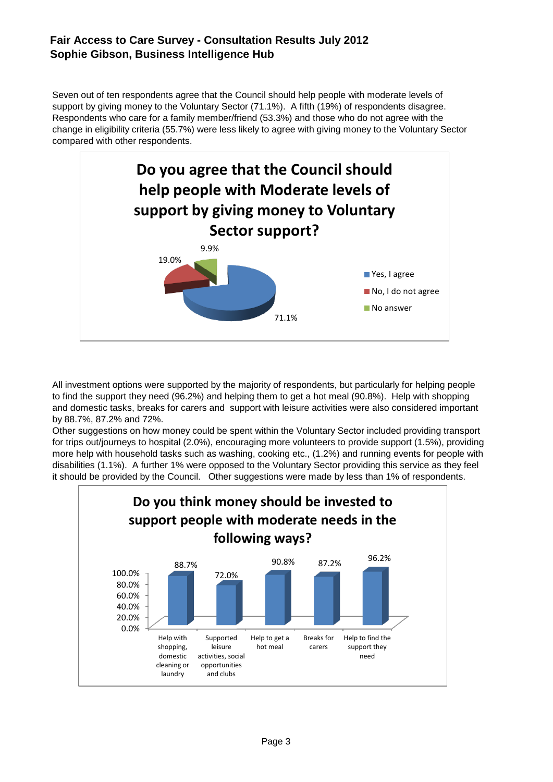Seven out of ten respondents agree that the Council should help people with moderate levels of support by giving money to the Voluntary Sector (71.1%). A fifth (19%) of respondents disagree. Respondents who care for a family member/friend (53.3%) and those who do not agree with the change in eligibility criteria (55.7%) were less likely to agree with giving money to the Voluntary Sector compared with other respondents.



All investment options were supported by the majority of respondents, but particularly for helping people to find the support they need (96.2%) and helping them to get a hot meal (90.8%). Help with shopping and domestic tasks, breaks for carers and support with leisure activities were also considered important by 88.7%, 87.2% and 72%.

Other suggestions on how money could be spent within the Voluntary Sector included providing transport for trips out/journeys to hospital (2.0%), encouraging more volunteers to provide support (1.5%), providing more help with household tasks such as washing, cooking etc., (1.2%) and running events for people with disabilities (1.1%). A further 1% were opposed to the Voluntary Sector providing this service as they feel it should be provided by the Council. Other suggestions were made by less than 1% of respondents.

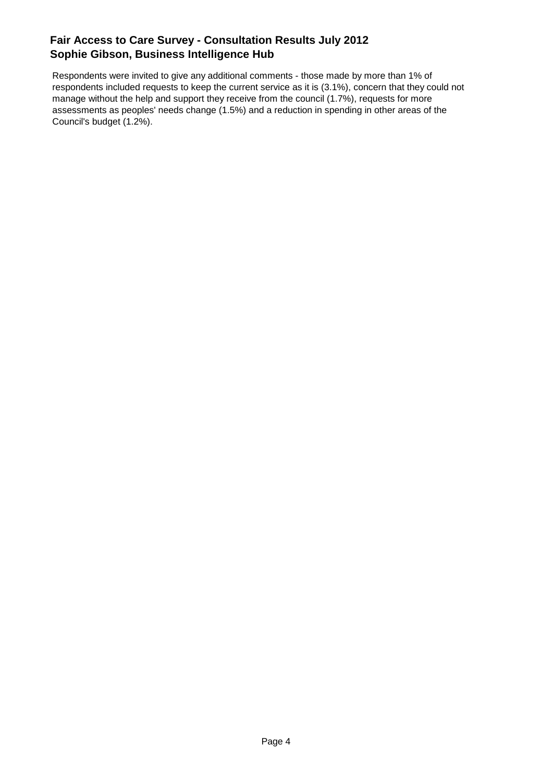Respondents were invited to give any additional comments - those made by more than 1% of respondents included requests to keep the current service as it is (3.1%), concern that they could not manage without the help and support they receive from the council (1.7%), requests for more assessments as peoples' needs change (1.5%) and a reduction in spending in other areas of the Council's budget (1.2%).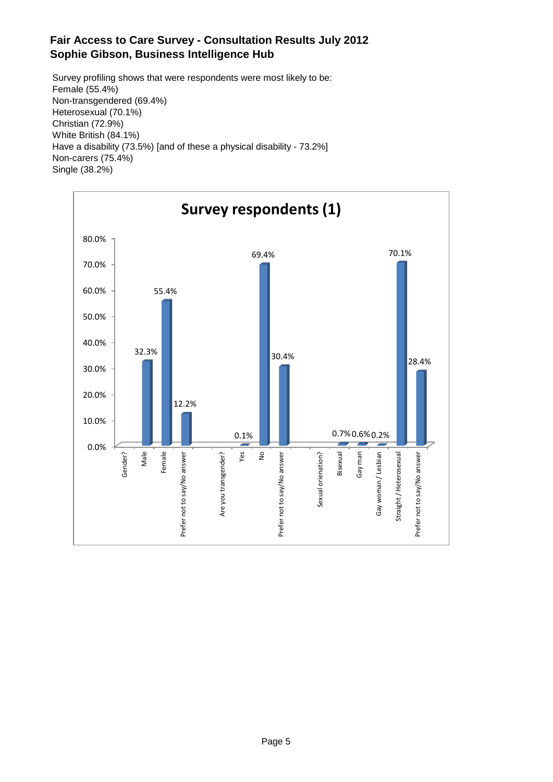Survey profiling shows that were respondents were most likely to be: Female (55.4%) Non-transgendered (69.4%) Heterosexual (70.1%) Christian (72.9%) White British (84.1%) Have a disability (73.5%) [and of these a physical disability - 73.2%] Non-carers (75.4%) Single (38.2%)

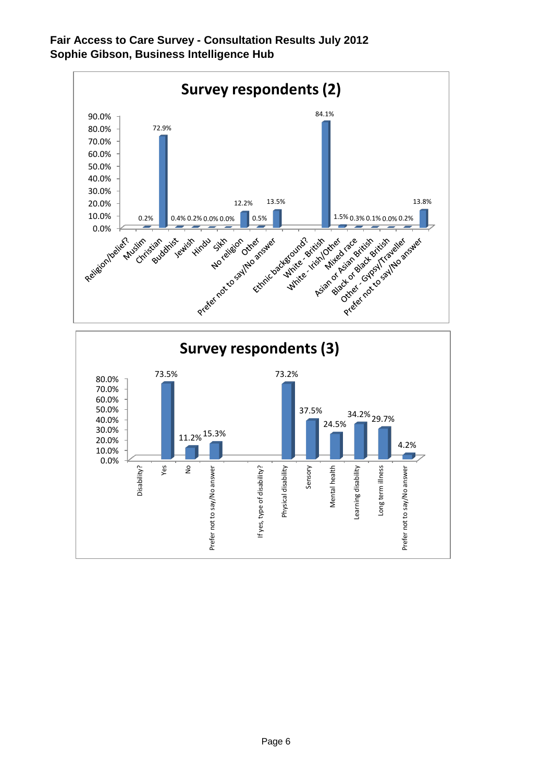